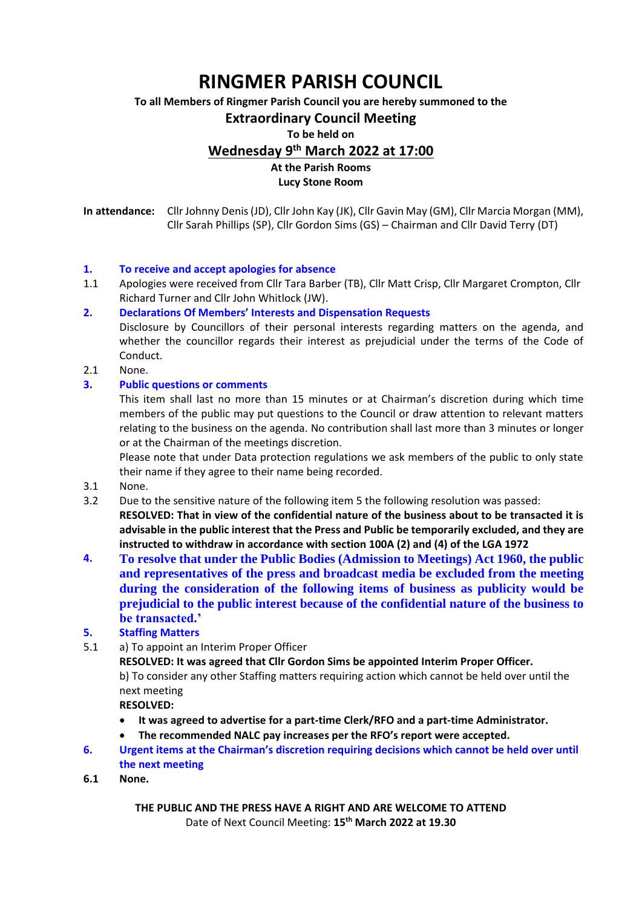# **RINGMER PARISH COUNCIL**

**To all Members of Ringmer Parish Council you are hereby summoned to the**

### **Extraordinary Council Meeting**

#### **To be held on**

**Wednesday 9th March 2022 at 17:00**

## **At the Parish Rooms**

**Lucy Stone Room**

**In attendance:** Cllr Johnny Denis(JD), Cllr John Kay (JK), Cllr Gavin May (GM), Cllr Marcia Morgan (MM), Cllr Sarah Phillips (SP), Cllr Gordon Sims (GS) – Chairman and Cllr David Terry (DT)

### **1. To receive and accept apologies for absence**

1.1 Apologies were received from Cllr Tara Barber (TB), Cllr Matt Crisp, Cllr Margaret Crompton, Cllr Richard Turner and Cllr John Whitlock (JW).

### **2. Declarations Of Members' Interests and Dispensation Requests**

Disclosure by Councillors of their personal interests regarding matters on the agenda, and whether the councillor regards their interest as prejudicial under the terms of the Code of Conduct.

2.1 None.

### **3. Public questions or comments**

This item shall last no more than 15 minutes or at Chairman's discretion during which time members of the public may put questions to the Council or draw attention to relevant matters relating to the business on the agenda. No contribution shall last more than 3 minutes or longer or at the Chairman of the meetings discretion.

Please note that under Data protection regulations we ask members of the public to only state their name if they agree to their name being recorded.

- 3.1 None.
- 3.2 Due to the sensitive nature of the following item 5 the following resolution was passed: **RESOLVED: That in view of the confidential nature of the business about to be transacted it is advisable in the public interest that the Press and Public be temporarily excluded, and they are instructed to withdraw in accordance with section 100A (2) and (4) of the LGA 1972**
- **4. To resolve that under the Public Bodies (Admission to Meetings) Act 1960, the public and representatives of the press and broadcast media be excluded from the meeting during the consideration of the following items of business as publicity would be prejudicial to the public interest because of the confidential nature of the business to be transacted.'**
- **5. Staffing Matters**
- 5.1 a) To appoint an Interim Proper Officer

**RESOLVED: It was agreed that Cllr Gordon Sims be appointed Interim Proper Officer.**

b) To consider any other Staffing matters requiring action which cannot be held over until the next meeting

**RESOLVED:** 

- **It was agreed to advertise for a part-time Clerk/RFO and a part-time Administrator.**
- **The recommended NALC pay increases per the RFO's report were accepted.**
- **6. Urgent items at the Chairman's discretion requiring decisions which cannot be held over until the next meeting**
- **6.1 None.**

**THE PUBLIC AND THE PRESS HAVE A RIGHT AND ARE WELCOME TO ATTEND** Date of Next Council Meeting: **15 th March 2022 at 19.30**